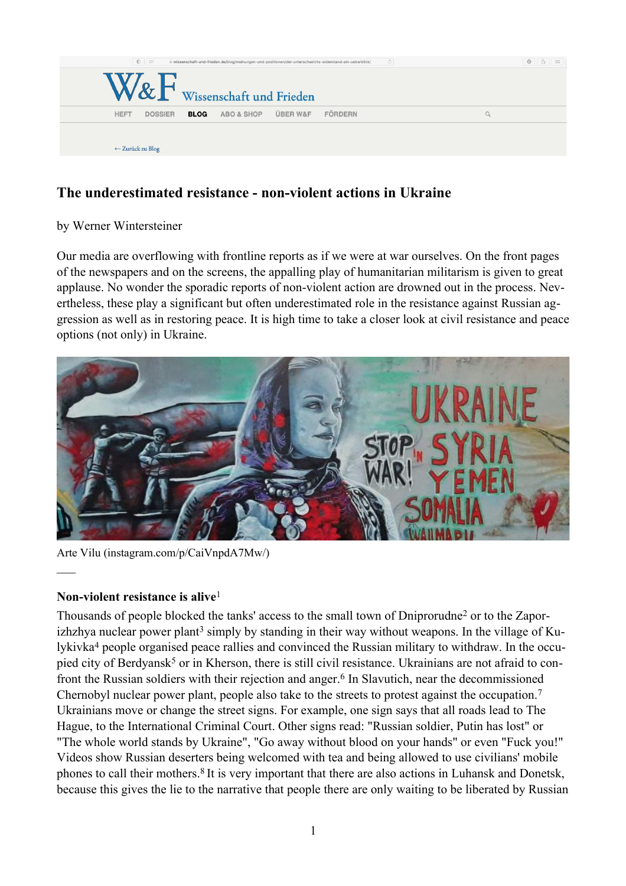

# **The underestimated resistance - non-violent actions in Ukraine**

### by Werner Wintersteiner

Our media are overflowing with frontline reports as if we were at war ourselves. On the front pages of the newspapers and on the screens, the appalling play of humanitarian militarism is given to great applause. No wonder the sporadic reports of non-violent action are drowned out in the process. Nevertheless, these play a significant but often underestimated role in the resistance against Russian aggression as well as in restoring peace. It is high time to take a closer look at civil resistance and peace options (not only) in Ukraine.



Arte Vilu (instagram.com/p/CaiVnpdA7Mw/)

### **Non-violent resistance is alive**<sup>1</sup>

 $\overline{\phantom{a}}$ 

Thousands of people blocked the tanks' access to the small town of Dniprorudne<sup>2</sup> or to the Zaporizhzhya nuclear power plant<sup>3</sup> simply by standing in their way without weapons. In the village of Kulykіvka<sup>4</sup> people organised peace rallies and convinced the Russian military to withdraw. In the occupied city of Berdyansk<sup>5</sup> or in Kherson, there is still civil resistance. Ukrainians are not afraid to confront the Russian soldiers with their rejection and anger.<sup>6</sup> In Slavutich, near the decommissioned Chernobyl nuclear power plant, people also take to the streets to protest against the occupation.<sup>7</sup> Ukrainians move or change the street signs. For example, one sign says that all roads lead to The Hague, to the International Criminal Court. Other signs read: "Russian soldier, Putin has lost" or "The whole world stands by Ukraine", "Go away without blood on your hands" or even "Fuck you!" Videos show Russian deserters being welcomed with tea and being allowed to use civilians' mobile phones to call their mothers.8 It is very important that there are also actions in Luhansk and Donetsk, because this gives the lie to the narrative that people there are only waiting to be liberated by Russian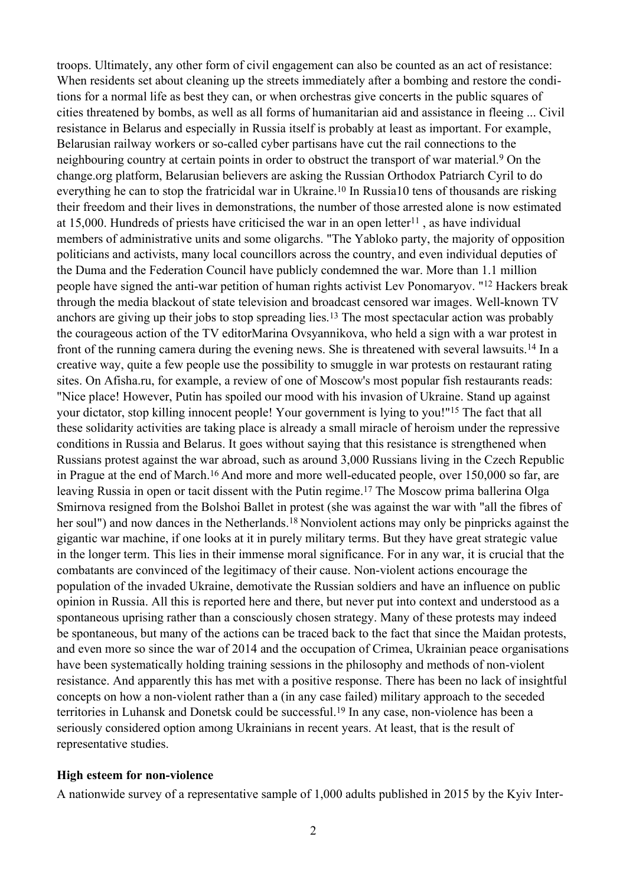troops. Ultimately, any other form of civil engagement can also be counted as an act of resistance: When residents set about cleaning up the streets immediately after a bombing and restore the conditions for a normal life as best they can, or when orchestras give concerts in the public squares of cities threatened by bombs, as well as all forms of humanitarian aid and assistance in fleeing ... Civil resistance in Belarus and especially in Russia itself is probably at least as important. For example, Belarusian railway workers or so-called cyber partisans have cut the rail connections to the neighbouring country at certain points in order to obstruct the transport of war material.<sup>9</sup> On the change.org platform, Belarusian believers are asking the Russian Orthodox Patriarch Cyril to do everything he can to stop the fratricidal war in Ukraine.<sup>10</sup> In Russia10 tens of thousands are risking their freedom and their lives in demonstrations, the number of those arrested alone is now estimated at 15,000. Hundreds of priests have criticised the war in an open letter<sup>11</sup>, as have individual members of administrative units and some oligarchs. "The Yabloko party, the majority of opposition politicians and activists, many local councillors across the country, and even individual deputies of the Duma and the Federation Council have publicly condemned the war. More than 1.1 million people have signed the anti-war petition of human rights activist Lev Ponomaryov. "12 Hackers break through the media blackout of state television and broadcast censored war images. Well-known TV anchors are giving up their jobs to stop spreading lies.<sup>13</sup> The most spectacular action was probably the courageous action of the TV editorMarina Ovsyannikova, who held a sign with a war protest in front of the running camera during the evening news. She is threatened with several lawsuits.14 In a creative way, quite a few people use the possibility to smuggle in war protests on restaurant rating sites. On Afisha.ru, for example, a review of one of Moscow's most popular fish restaurants reads: "Nice place! However, Putin has spoiled our mood with his invasion of Ukraine. Stand up against your dictator, stop killing innocent people! Your government is lying to you!"15 The fact that all these solidarity activities are taking place is already a small miracle of heroism under the repressive conditions in Russia and Belarus. It goes without saying that this resistance is strengthened when Russians protest against the war abroad, such as around 3,000 Russians living in the Czech Republic in Prague at the end of March.<sup>16</sup> And more and more well-educated people, over 150,000 so far, are leaving Russia in open or tacit dissent with the Putin regime.17 The Moscow prima ballerina Olga Smirnova resigned from the Bolshoi Ballet in protest (she was against the war with "all the fibres of her soul") and now dances in the Netherlands.<sup>18</sup> Nonviolent actions may only be pinpricks against the gigantic war machine, if one looks at it in purely military terms. But they have great strategic value in the longer term. This lies in their immense moral significance. For in any war, it is crucial that the combatants are convinced of the legitimacy of their cause. Non-violent actions encourage the population of the invaded Ukraine, demotivate the Russian soldiers and have an influence on public opinion in Russia. All this is reported here and there, but never put into context and understood as a spontaneous uprising rather than a consciously chosen strategy. Many of these protests may indeed be spontaneous, but many of the actions can be traced back to the fact that since the Maidan protests, and even more so since the war of 2014 and the occupation of Crimea, Ukrainian peace organisations have been systematically holding training sessions in the philosophy and methods of non-violent resistance. And apparently this has met with a positive response. There has been no lack of insightful concepts on how a non-violent rather than a (in any case failed) military approach to the seceded territories in Luhansk and Donetsk could be successful.<sup>19</sup> In any case, non-violence has been a seriously considered option among Ukrainians in recent years. At least, that is the result of representative studies.

#### **High esteem for non-violence**

A nationwide survey of a representative sample of 1,000 adults published in 2015 by the Kyiv Inter-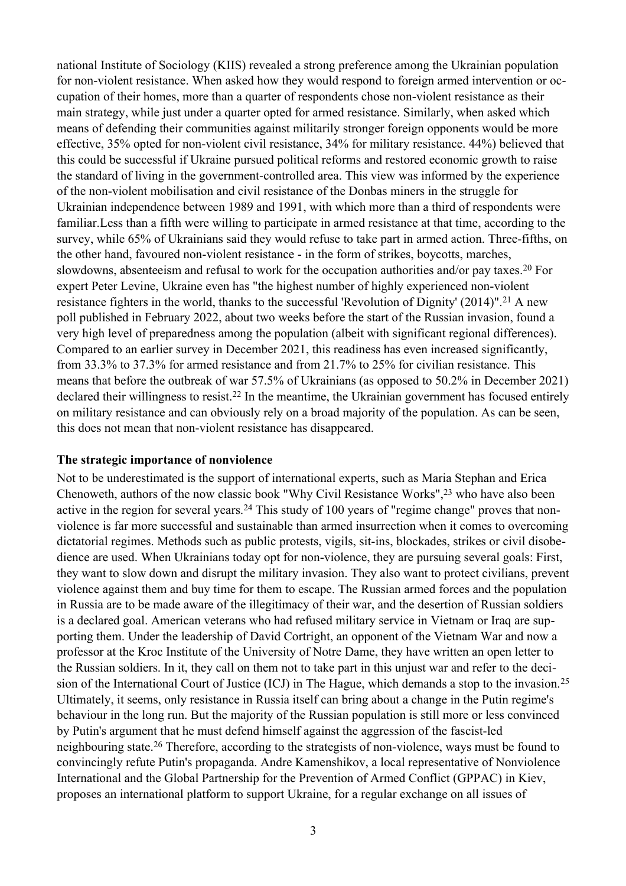national Institute of Sociology (KIIS) revealed a strong preference among the Ukrainian population for non-violent resistance. When asked how they would respond to foreign armed intervention or occupation of their homes, more than a quarter of respondents chose non-violent resistance as their main strategy, while just under a quarter opted for armed resistance. Similarly, when asked which means of defending their communities against militarily stronger foreign opponents would be more effective, 35% opted for non-violent civil resistance, 34% for military resistance. 44%) believed that this could be successful if Ukraine pursued political reforms and restored economic growth to raise the standard of living in the government-controlled area. This view was informed by the experience of the non-violent mobilisation and civil resistance of the Donbas miners in the struggle for Ukrainian independence between 1989 and 1991, with which more than a third of respondents were familiar.Less than a fifth were willing to participate in armed resistance at that time, according to the survey, while 65% of Ukrainians said they would refuse to take part in armed action. Three-fifths, on the other hand, favoured non-violent resistance - in the form of strikes, boycotts, marches, slowdowns, absenteeism and refusal to work for the occupation authorities and/or pay taxes.20 For expert Peter Levine, Ukraine even has "the highest number of highly experienced non-violent resistance fighters in the world, thanks to the successful 'Revolution of Dignity' (2014)".<sup>21</sup> A new poll published in February 2022, about two weeks before the start of the Russian invasion, found a very high level of preparedness among the population (albeit with significant regional differences). Compared to an earlier survey in December 2021, this readiness has even increased significantly, from 33.3% to 37.3% for armed resistance and from 21.7% to 25% for civilian resistance. This means that before the outbreak of war 57.5% of Ukrainians (as opposed to 50.2% in December 2021) declared their willingness to resist.<sup>22</sup> In the meantime, the Ukrainian government has focused entirely on military resistance and can obviously rely on a broad majority of the population. As can be seen, this does not mean that non-violent resistance has disappeared.

#### **The strategic importance of nonviolence**

Not to be underestimated is the support of international experts, such as Maria Stephan and Erica Chenoweth, authors of the now classic book "Why Civil Resistance Works",23 who have also been active in the region for several years.24 This study of 100 years of "regime change" proves that nonviolence is far more successful and sustainable than armed insurrection when it comes to overcoming dictatorial regimes. Methods such as public protests, vigils, sit-ins, blockades, strikes or civil disobedience are used. When Ukrainians today opt for non-violence, they are pursuing several goals: First, they want to slow down and disrupt the military invasion. They also want to protect civilians, prevent violence against them and buy time for them to escape. The Russian armed forces and the population in Russia are to be made aware of the illegitimacy of their war, and the desertion of Russian soldiers is a declared goal. American veterans who had refused military service in Vietnam or Iraq are supporting them. Under the leadership of David Cortright, an opponent of the Vietnam War and now a professor at the Kroc Institute of the University of Notre Dame, they have written an open letter to the Russian soldiers. In it, they call on them not to take part in this unjust war and refer to the decision of the International Court of Justice (ICJ) in The Hague, which demands a stop to the invasion.<sup>25</sup> Ultimately, it seems, only resistance in Russia itself can bring about a change in the Putin regime's behaviour in the long run. But the majority of the Russian population is still more or less convinced by Putin's argument that he must defend himself against the aggression of the fascist-led neighbouring state.<sup>26</sup> Therefore, according to the strategists of non-violence, ways must be found to convincingly refute Putin's propaganda. Andre Kamenshikov, a local representative of Nonviolence International and the Global Partnership for the Prevention of Armed Conflict (GPPAC) in Kiev, proposes an international platform to support Ukraine, for a regular exchange on all issues of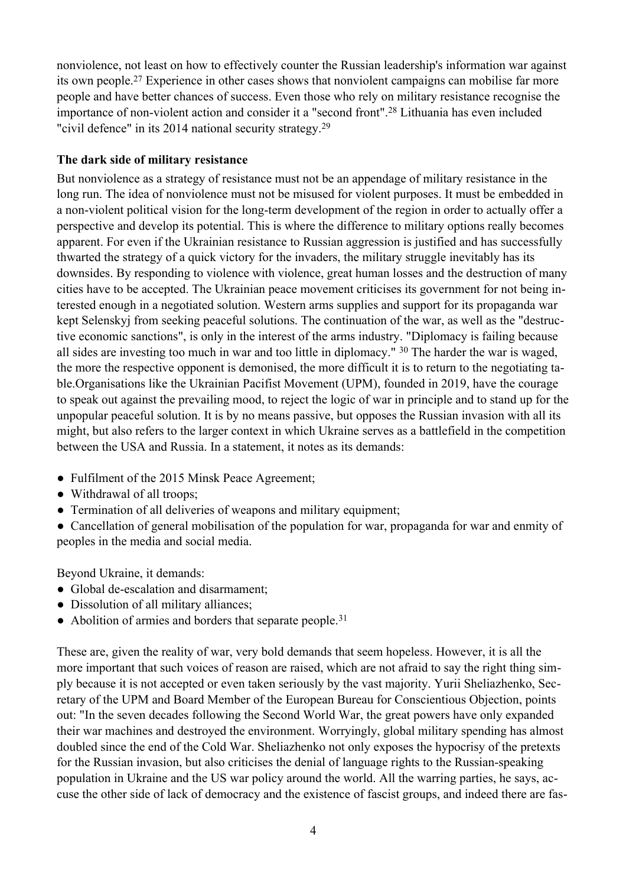nonviolence, not least on how to effectively counter the Russian leadership's information war against its own people.27 Experience in other cases shows that nonviolent campaigns can mobilise far more people and have better chances of success. Even those who rely on military resistance recognise the importance of non-violent action and consider it a "second front".28 Lithuania has even included "civil defence" in its 2014 national security strategy.<sup>29</sup>

### **The dark side of military resistance**

But nonviolence as a strategy of resistance must not be an appendage of military resistance in the long run. The idea of nonviolence must not be misused for violent purposes. It must be embedded in a non-violent political vision for the long-term development of the region in order to actually offer a perspective and develop its potential. This is where the difference to military options really becomes apparent. For even if the Ukrainian resistance to Russian aggression is justified and has successfully thwarted the strategy of a quick victory for the invaders, the military struggle inevitably has its downsides. By responding to violence with violence, great human losses and the destruction of many cities have to be accepted. The Ukrainian peace movement criticises its government for not being interested enough in a negotiated solution. Western arms supplies and support for its propaganda war kept Selenskyj from seeking peaceful solutions. The continuation of the war, as well as the "destructive economic sanctions", is only in the interest of the arms industry. "Diplomacy is failing because all sides are investing too much in war and too little in diplomacy." <sup>30</sup> The harder the war is waged, the more the respective opponent is demonised, the more difficult it is to return to the negotiating table.Organisations like the Ukrainian Pacifist Movement (UPM), founded in 2019, have the courage to speak out against the prevailing mood, to reject the logic of war in principle and to stand up for the unpopular peaceful solution. It is by no means passive, but opposes the Russian invasion with all its might, but also refers to the larger context in which Ukraine serves as a battlefield in the competition between the USA and Russia. In a statement, it notes as its demands:

- Fulfilment of the 2015 Minsk Peace Agreement;
- Withdrawal of all troops;
- Termination of all deliveries of weapons and military equipment;
- Cancellation of general mobilisation of the population for war, propaganda for war and enmity of peoples in the media and social media.

Beyond Ukraine, it demands:

- Global de-escalation and disarmament;
- Dissolution of all military alliances;
- $\bullet$  Abolition of armies and borders that separate people.<sup>31</sup>

These are, given the reality of war, very bold demands that seem hopeless. However, it is all the more important that such voices of reason are raised, which are not afraid to say the right thing simply because it is not accepted or even taken seriously by the vast majority. Yurii Sheliazhenko, Secretary of the UPM and Board Member of the European Bureau for Conscientious Objection, points out: "In the seven decades following the Second World War, the great powers have only expanded their war machines and destroyed the environment. Worryingly, global military spending has almost doubled since the end of the Cold War. Sheliazhenko not only exposes the hypocrisy of the pretexts for the Russian invasion, but also criticises the denial of language rights to the Russian-speaking population in Ukraine and the US war policy around the world. All the warring parties, he says, accuse the other side of lack of democracy and the existence of fascist groups, and indeed there are fas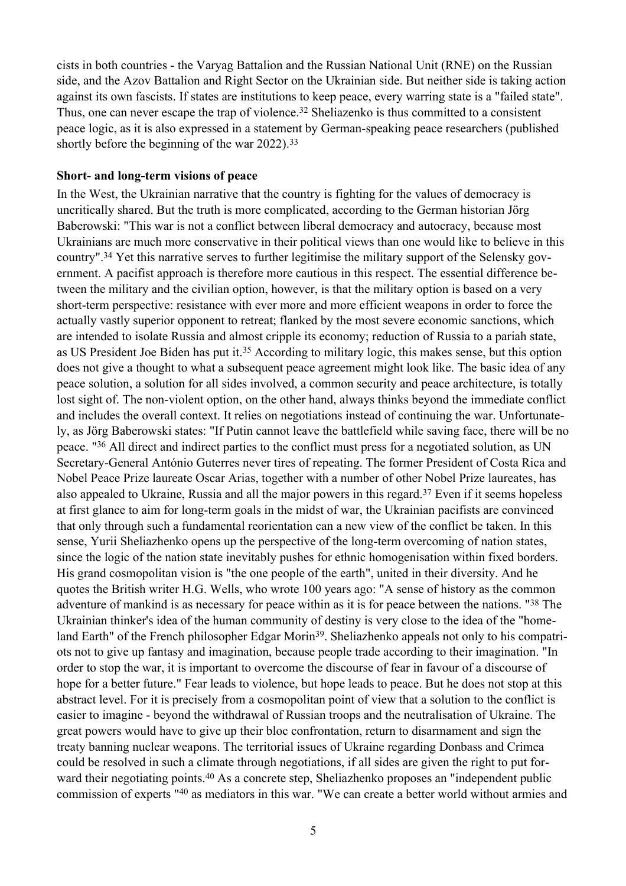cists in both countries - the Varyag Battalion and the Russian National Unit (RNE) on the Russian side, and the Azov Battalion and Right Sector on the Ukrainian side. But neither side is taking action against its own fascists. If states are institutions to keep peace, every warring state is a "failed state". Thus, one can never escape the trap of violence.<sup>32</sup> Sheliazenko is thus committed to a consistent peace logic, as it is also expressed in a statement by German-speaking peace researchers (published shortly before the beginning of the war 2022).<sup>33</sup>

#### **Short- and long-term visions of peace**

In the West, the Ukrainian narrative that the country is fighting for the values of democracy is uncritically shared. But the truth is more complicated, according to the German historian Jörg Baberowski: "This war is not a conflict between liberal democracy and autocracy, because most Ukrainians are much more conservative in their political views than one would like to believe in this country".34 Yet this narrative serves to further legitimise the military support of the Selensky government. A pacifist approach is therefore more cautious in this respect. The essential difference between the military and the civilian option, however, is that the military option is based on a very short-term perspective: resistance with ever more and more efficient weapons in order to force the actually vastly superior opponent to retreat; flanked by the most severe economic sanctions, which are intended to isolate Russia and almost cripple its economy; reduction of Russia to a pariah state, as US President Joe Biden has put it.<sup>35</sup> According to military logic, this makes sense, but this option does not give a thought to what a subsequent peace agreement might look like. The basic idea of any peace solution, a solution for all sides involved, a common security and peace architecture, is totally lost sight of. The non-violent option, on the other hand, always thinks beyond the immediate conflict and includes the overall context. It relies on negotiations instead of continuing the war. Unfortunately, as Jörg Baberowski states: "If Putin cannot leave the battlefield while saving face, there will be no peace. "36 All direct and indirect parties to the conflict must press for a negotiated solution, as UN Secretary-General António Guterres never tires of repeating. The former President of Costa Rica and Nobel Peace Prize laureate Oscar Arias, together with a number of other Nobel Prize laureates, has also appealed to Ukraine, Russia and all the major powers in this regard.37 Even if it seems hopeless at first glance to aim for long-term goals in the midst of war, the Ukrainian pacifists are convinced that only through such a fundamental reorientation can a new view of the conflict be taken. In this sense, Yurii Sheliazhenko opens up the perspective of the long-term overcoming of nation states, since the logic of the nation state inevitably pushes for ethnic homogenisation within fixed borders. His grand cosmopolitan vision is "the one people of the earth", united in their diversity. And he quotes the British writer H.G. Wells, who wrote 100 years ago: "A sense of history as the common adventure of mankind is as necessary for peace within as it is for peace between the nations. "38 The Ukrainian thinker's idea of the human community of destiny is very close to the idea of the "homeland Earth" of the French philosopher Edgar Morin39. Sheliazhenko appeals not only to his compatriots not to give up fantasy and imagination, because people trade according to their imagination. "In order to stop the war, it is important to overcome the discourse of fear in favour of a discourse of hope for a better future." Fear leads to violence, but hope leads to peace. But he does not stop at this abstract level. For it is precisely from a cosmopolitan point of view that a solution to the conflict is easier to imagine - beyond the withdrawal of Russian troops and the neutralisation of Ukraine. The great powers would have to give up their bloc confrontation, return to disarmament and sign the treaty banning nuclear weapons. The territorial issues of Ukraine regarding Donbass and Crimea could be resolved in such a climate through negotiations, if all sides are given the right to put forward their negotiating points.<sup>40</sup> As a concrete step, Sheliazhenko proposes an "independent public commission of experts "40 as mediators in this war. "We can create a better world without armies and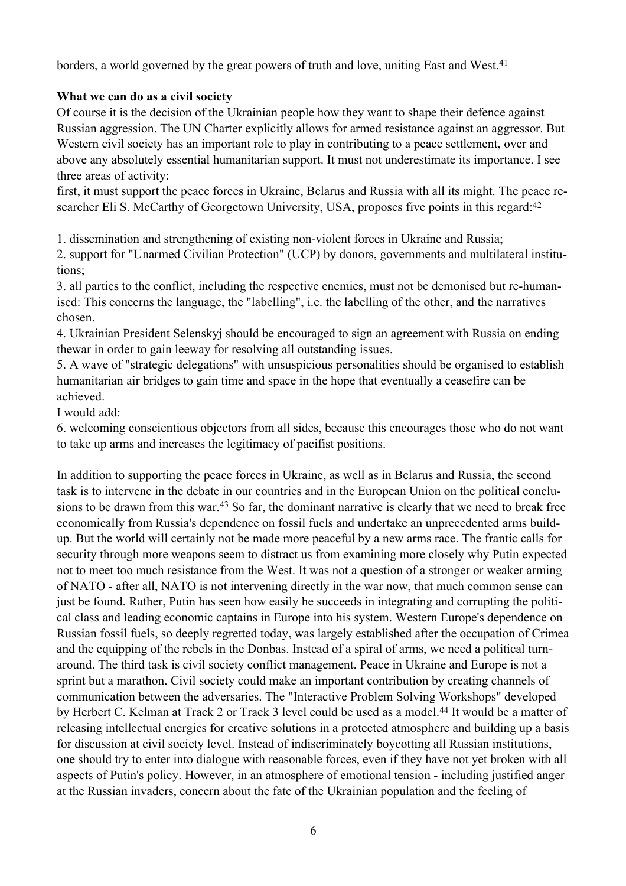borders, a world governed by the great powers of truth and love, uniting East and West.<sup>41</sup>

### **What we can do as a civil society**

Of course it is the decision of the Ukrainian people how they want to shape their defence against Russian aggression. The UN Charter explicitly allows for armed resistance against an aggressor. But Western civil society has an important role to play in contributing to a peace settlement, over and above any absolutely essential humanitarian support. It must not underestimate its importance. I see three areas of activity:

first, it must support the peace forces in Ukraine, Belarus and Russia with all its might. The peace researcher Eli S. McCarthy of Georgetown University, USA, proposes five points in this regard:<sup>42</sup>

1. dissemination and strengthening of existing non-violent forces in Ukraine and Russia;

2. support for "Unarmed Civilian Protection" (UCP) by donors, governments and multilateral institutions;

3. all parties to the conflict, including the respective enemies, must not be demonised but re-humanised: This concerns the language, the "labelling", i.e. the labelling of the other, and the narratives chosen.

4. Ukrainian President Selenskyj should be encouraged to sign an agreement with Russia on ending thewar in order to gain leeway for resolving all outstanding issues.

5. A wave of "strategic delegations" with unsuspicious personalities should be organised to establish humanitarian air bridges to gain time and space in the hope that eventually a ceasefire can be achieved.

I would add:

6. welcoming conscientious objectors from all sides, because this encourages those who do not want to take up arms and increases the legitimacy of pacifist positions.

In addition to supporting the peace forces in Ukraine, as well as in Belarus and Russia, the second task is to intervene in the debate in our countries and in the European Union on the political conclusions to be drawn from this war.<sup>43</sup> So far, the dominant narrative is clearly that we need to break free economically from Russia's dependence on fossil fuels and undertake an unprecedented arms buildup. But the world will certainly not be made more peaceful by a new arms race. The frantic calls for security through more weapons seem to distract us from examining more closely why Putin expected not to meet too much resistance from the West. It was not a question of a stronger or weaker arming of NATO - after all, NATO is not intervening directly in the war now, that much common sense can just be found. Rather, Putin has seen how easily he succeeds in integrating and corrupting the political class and leading economic captains in Europe into his system. Western Europe's dependence on Russian fossil fuels, so deeply regretted today, was largely established after the occupation of Crimea and the equipping of the rebels in the Donbas. Instead of a spiral of arms, we need a political turnaround. The third task is civil society conflict management. Peace in Ukraine and Europe is not a sprint but a marathon. Civil society could make an important contribution by creating channels of communication between the adversaries. The "Interactive Problem Solving Workshops" developed by Herbert C. Kelman at Track 2 or Track 3 level could be used as a model.<sup>44</sup> It would be a matter of releasing intellectual energies for creative solutions in a protected atmosphere and building up a basis for discussion at civil society level. Instead of indiscriminately boycotting all Russian institutions, one should try to enter into dialogue with reasonable forces, even if they have not yet broken with all aspects of Putin's policy. However, in an atmosphere of emotional tension - including justified anger at the Russian invaders, concern about the fate of the Ukrainian population and the feeling of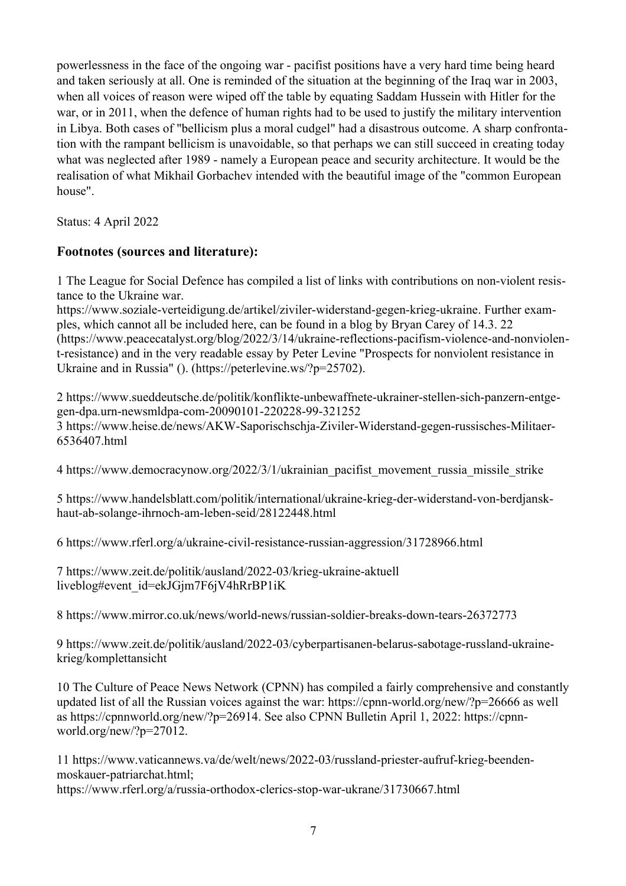powerlessness in the face of the ongoing war - pacifist positions have a very hard time being heard and taken seriously at all. One is reminded of the situation at the beginning of the Iraq war in 2003, when all voices of reason were wiped off the table by equating Saddam Hussein with Hitler for the war, or in 2011, when the defence of human rights had to be used to justify the military intervention in Libya. Both cases of "bellicism plus a moral cudgel" had a disastrous outcome. A sharp confrontation with the rampant bellicism is unavoidable, so that perhaps we can still succeed in creating today what was neglected after 1989 - namely a European peace and security architecture. It would be the realisation of what Mikhail Gorbachev intended with the beautiful image of the "common European house".

Status: 4 April 2022

## **Footnotes (sources and literature):**

1 The League for Social Defence has compiled a list of links with contributions on non-violent resistance to the Ukraine war.

https://www.soziale-verteidigung.de/artikel/ziviler-widerstand-gegen-krieg-ukraine. Further examples, which cannot all be included here, can be found in a blog by Bryan Carey of 14.3. 22 (https://www.peacecatalyst.org/blog/2022/3/14/ukraine-reflections-pacifism-violence-and-nonviolent-resistance) and in the very readable essay by Peter Levine "Prospects for nonviolent resistance in Ukraine and in Russia" (). (https://peterlevine.ws/?p=25702).

2 https://www.sueddeutsche.de/politik/konflikte-unbewaffnete-ukrainer-stellen-sich-panzern-entgegen-dpa.urn-newsmldpa-com-20090101-220228-99-321252 3 https://www.heise.de/news/AKW-Saporischschja-Ziviler-Widerstand-gegen-russisches-Militaer-6536407.html

4 https://www.democracynow.org/2022/3/1/ukrainian\_pacifist\_movement\_russia\_missile\_strike

5 https://www.handelsblatt.com/politik/international/ukraine-krieg-der-widerstand-von-berdjanskhaut-ab-solange-ihrnoch-am-leben-seid/28122448.html

6 https://www.rferl.org/a/ukraine-civil-resistance-russian-aggression/31728966.html

7 https://www.zeit.de/politik/ausland/2022-03/krieg-ukraine-aktuell liveblog#event\_id=ekJGjm7F6jV4hRrBP1iK

8 https://www.mirror.co.uk/news/world-news/russian-soldier-breaks-down-tears-26372773

9 https://www.zeit.de/politik/ausland/2022-03/cyberpartisanen-belarus-sabotage-russland-ukrainekrieg/komplettansicht

10 The Culture of Peace News Network (CPNN) has compiled a fairly comprehensive and constantly updated list of all the Russian voices against the war: https://cpnn-world.org/new/?p=26666 as well as https://cpnnworld.org/new/?p=26914. See also CPNN Bulletin April 1, 2022: https://cpnnworld.org/new/?p=27012.

11 https://www.vaticannews.va/de/welt/news/2022-03/russland-priester-aufruf-krieg-beendenmoskauer-patriarchat.html; https://www.rferl.org/a/russia-orthodox-clerics-stop-war-ukrane/31730667.html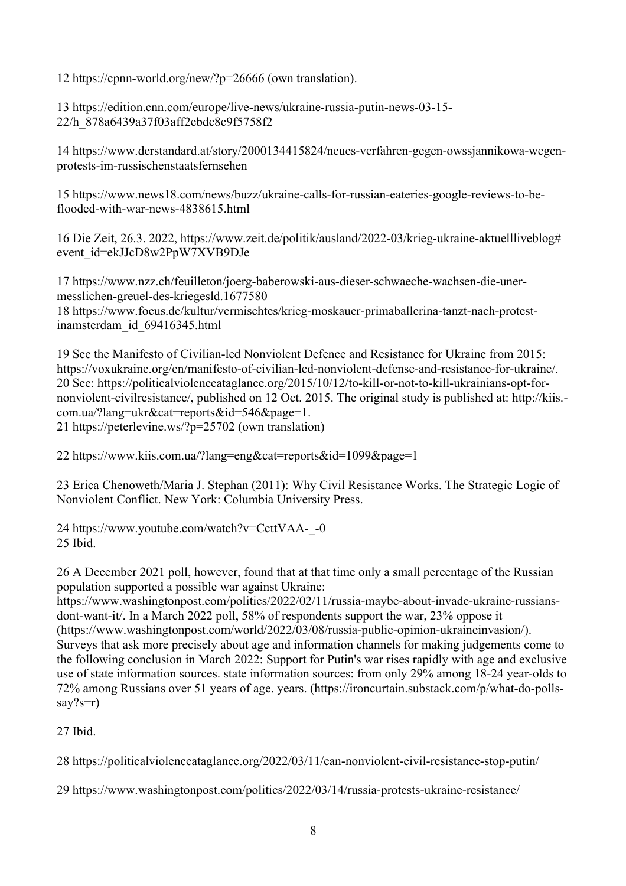12 https://cpnn-world.org/new/?p=26666 (own translation).

13 https://edition.cnn.com/europe/live-news/ukraine-russia-putin-news-03-15- 22/h\_878a6439a37f03aff2ebdc8c9f5758f2

14 https://www.derstandard.at/story/2000134415824/neues-verfahren-gegen-owssjannikowa-wegenprotests-im-russischenstaatsfernsehen

15 https://www.news18.com/news/buzz/ukraine-calls-for-russian-eateries-google-reviews-to-beflooded-with-war-news-4838615.html

16 Die Zeit, 26.3. 2022, https://www.zeit.de/politik/ausland/2022-03/krieg-ukraine-aktuellliveblog# event\_id=ekJJcD8w2PpW7XVB9DJe

17 https://www.nzz.ch/feuilleton/joerg-baberowski-aus-dieser-schwaeche-wachsen-die-unermesslichen-greuel-des-kriegesld.1677580 18 https://www.focus.de/kultur/vermischtes/krieg-moskauer-primaballerina-tanzt-nach-protestinamsterdam\_id\_69416345.html

19 See the Manifesto of Civilian-led Nonviolent Defence and Resistance for Ukraine from 2015: https://voxukraine.org/en/manifesto-of-civilian-led-nonviolent-defense-and-resistance-for-ukraine/. 20 See: https://politicalviolenceataglance.org/2015/10/12/to-kill-or-not-to-kill-ukrainians-opt-fornonviolent-civilresistance/, published on 12 Oct. 2015. The original study is published at: http://kiis. com.ua/?lang=ukr&cat=reports&id=546&page=1. 21 https://peterlevine.ws/?p=25702 (own translation)

22 https://www.kiis.com.ua/?lang=eng&cat=reports&id=1099&page=1

23 Erica Chenoweth/Maria J. Stephan (2011): Why Civil Resistance Works. The Strategic Logic of Nonviolent Conflict. New York: Columbia University Press.

24 https://www.youtube.com/watch?v=CcttVAA-\_-0 25 Ibid.

26 A December 2021 poll, however, found that at that time only a small percentage of the Russian population supported a possible war against Ukraine:

https://www.washingtonpost.com/politics/2022/02/11/russia-maybe-about-invade-ukraine-russiansdont-want-it/. In a March 2022 poll, 58% of respondents support the war, 23% oppose it (https://www.washingtonpost.com/world/2022/03/08/russia-public-opinion-ukraineinvasion/). Surveys that ask more precisely about age and information channels for making judgements come to the following conclusion in March 2022: Support for Putin's war rises rapidly with age and exclusive use of state information sources. state information sources: from only 29% among 18-24 year-olds to 72% among Russians over 51 years of age. years. (https://ironcurtain.substack.com/p/what-do-pollssay?s=r)

27 Ibid.

28 https://politicalviolenceataglance.org/2022/03/11/can-nonviolent-civil-resistance-stop-putin/

29 https://www.washingtonpost.com/politics/2022/03/14/russia-protests-ukraine-resistance/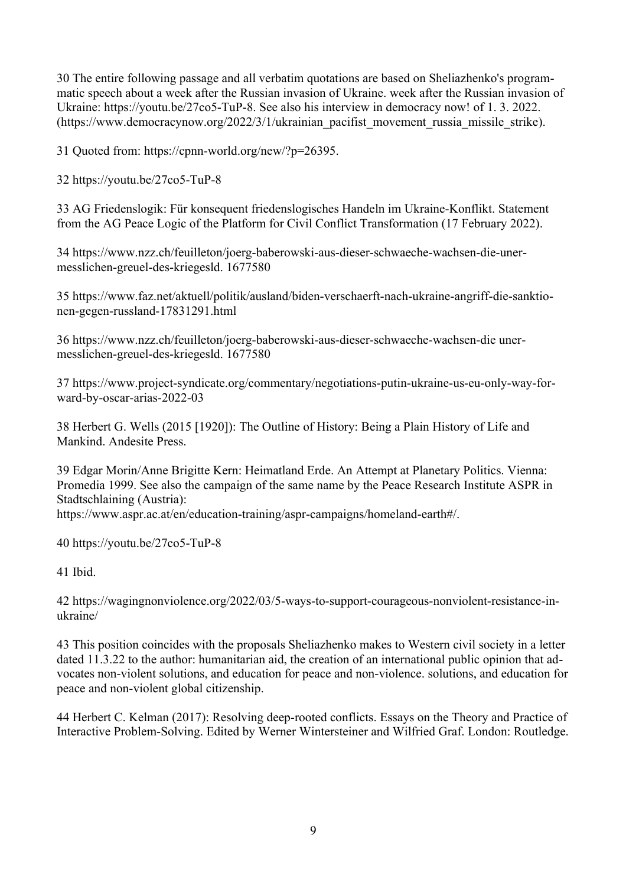30 The entire following passage and all verbatim quotations are based on Sheliazhenko's programmatic speech about a week after the Russian invasion of Ukraine. week after the Russian invasion of Ukraine: https://youtu.be/27co5-TuP-8. See also his interview in democracy now! of 1. 3. 2022. (https://www.democracynow.org/2022/3/1/ukrainian\_pacifist\_movement\_russia\_missile\_strike).

31 Quoted from: https://cpnn-world.org/new/?p=26395.

32 https://youtu.be/27co5-TuP-8

33 AG Friedenslogik: Für konsequent friedenslogisches Handeln im Ukraine-Konflikt. Statement from the AG Peace Logic of the Platform for Civil Conflict Transformation (17 February 2022).

34 https://www.nzz.ch/feuilleton/joerg-baberowski-aus-dieser-schwaeche-wachsen-die-unermesslichen-greuel-des-kriegesld. 1677580

35 https://www.faz.net/aktuell/politik/ausland/biden-verschaerft-nach-ukraine-angriff-die-sanktionen-gegen-russland-17831291.html

36 https://www.nzz.ch/feuilleton/joerg-baberowski-aus-dieser-schwaeche-wachsen-die unermesslichen-greuel-des-kriegesld. 1677580

37 https://www.project-syndicate.org/commentary/negotiations-putin-ukraine-us-eu-only-way-forward-by-oscar-arias-2022-03

38 Herbert G. Wells (2015 [1920]): The Outline of History: Being a Plain History of Life and Mankind. Andesite Press.

39 Edgar Morin/Anne Brigitte Kern: Heimatland Erde. An Attempt at Planetary Politics. Vienna: Promedia 1999. See also the campaign of the same name by the Peace Research Institute ASPR in Stadtschlaining (Austria):

https://www.aspr.ac.at/en/education-training/aspr-campaigns/homeland-earth#/.

40 https://youtu.be/27co5-TuP-8

41 Ibid.

42 https://wagingnonviolence.org/2022/03/5-ways-to-support-courageous-nonviolent-resistance-inukraine/

43 This position coincides with the proposals Sheliazhenko makes to Western civil society in a letter dated 11.3.22 to the author: humanitarian aid, the creation of an international public opinion that advocates non-violent solutions, and education for peace and non-violence. solutions, and education for peace and non-violent global citizenship.

44 Herbert C. Kelman (2017): Resolving deep-rooted conflicts. Essays on the Theory and Practice of Interactive Problem-Solving. Edited by Werner Wintersteiner and Wilfried Graf. London: Routledge.